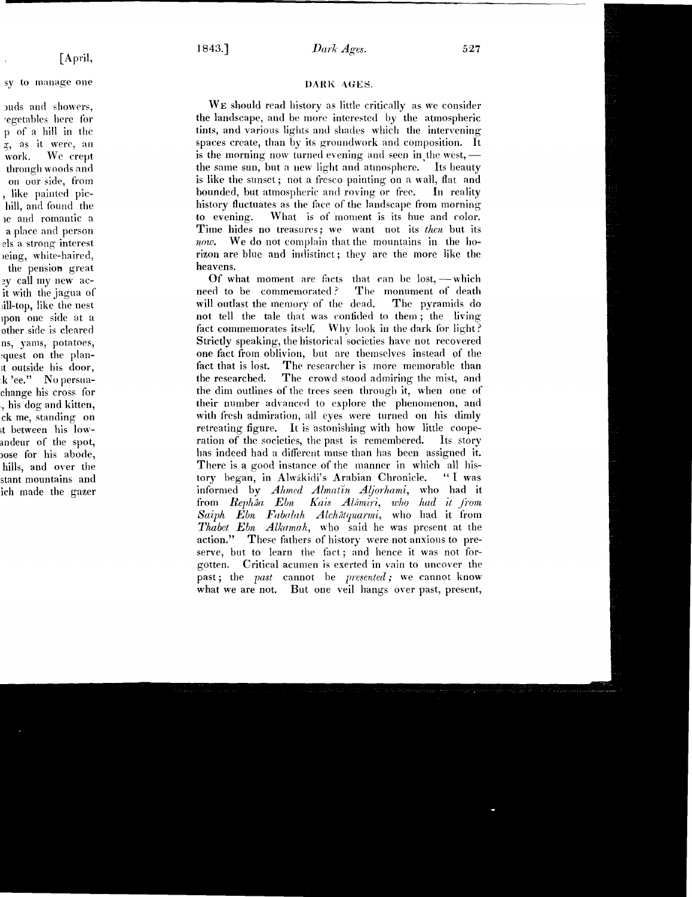## DARK AGES.

WE should read history as little critically as we consider the landscape, and be more interested by the atmospheric tints, and various lights and shades which the intervening spaces create, than by its groundwork and composition. It is the morning now turned evening and seen in the west. $$ the same sun, but a new light and atmosphere. Its beauty is like the sunset; not a fresco painting on a wall, flat and<br>bounded, but atmospheric and roving or free. In reality bounded, but atmospheric and roving or free. history fluctuates as the face of the landscape from morning to evening. What is of moment is its hue and color. Time hides no treasures; we want not its then but its now. We do not complain that the mountains in the horizon are blue and indistinct ; they are the more like the heavens.

Of what moment are facts that can be lost, — which<br>ed to be commemorated? The monument of death need to be commemorated? The monument of death<br>will outlast the memory of the dead. The pyramids do will outlast the memory of the dead. not tell the tale that was confided to them ; the living fact commemorates itself. Why look in the dark for light? Strictly speaking, the historical societies have not recovered one fact from oblivion, but are themselves instead of the fact that is lost. The researcher is more memorable than the researched. The crowd stood admiring the mist, and the dim outlines of the trees seen through it, when one of their number advanced to explore the phenomenon, and with fresh admiration, all eyes were turned on his dimly retreating figure. It is astonishing with how little cooperation of the societies, the past is remembered. Its story has indeed had a different muse than has been assigned it. There is a good instance of the manner in which all his-<br>tory began, in Alwakidi's Arabian Chronicle. "I was tory began, in Alwakidi's Arabian Chronicle. informed by *Ahmed Almatin Aljorhami*, who had it from Rephâa Ebn Kais Alámiri, who had it from Saiph Ebn Fabalah Alchatquarmi, who had it from  $Thabet$   $Ebn$   $Alkamah$ , who said he was present at the action." These fathers of history were not anxious to preserve, but to learn the fact ; and hence it was not for gotten. Critical acumen is exerted in vain to uncover the past; the past cannot be presented; we cannot know what we are not. But one veil hangs over past, present,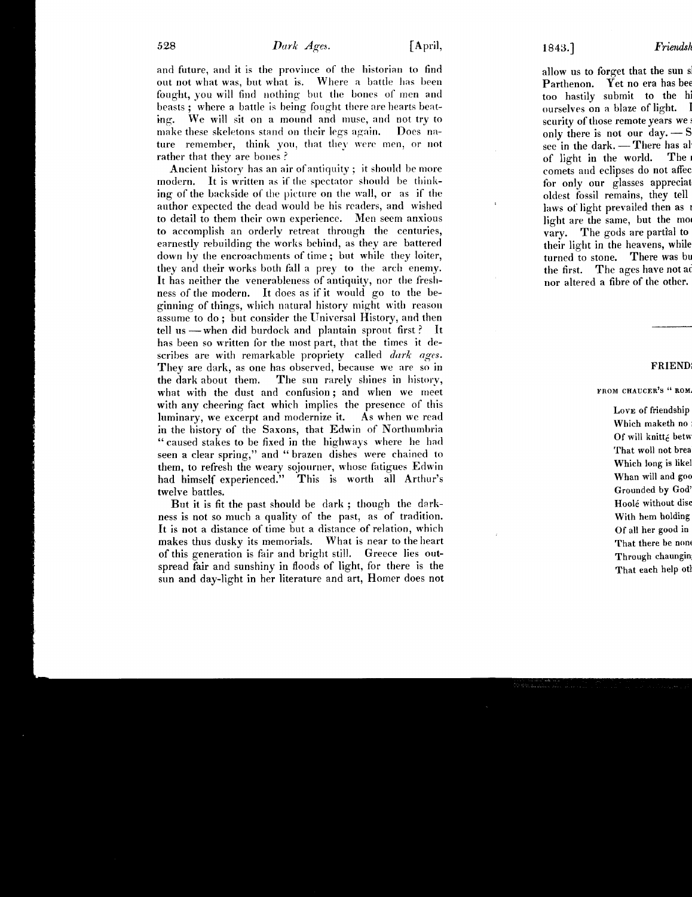and future, and it is the province of the historian to find out not what was, but what is. Where a battle has been fought, you will find nothing but the bones of men and beasts ; where a battle is being fought there are hearts beat ing. We will sit on <sup>a</sup> mound and muse, and not try to make these skeletons stand on their legs again. Does nature remember, think you, that they were men, or not rather that they are bones ?

Ancient history has an air of antiquity; it should be more modern. It is written as if the spectator should be think-It is written as if the spectator should be thinking of the backside of the picture on the wall, or as if the author expected the dead would be his readers, and wished to detail to them their own experience . Men seem anxious to accomplish an orderly retreat through the centuries, earnestly rebuilding the works behind, as they are battered down by the encroachments of time ; but while they loiter, they and their works both fall a prey to the arch enemy. It has neither the venerableness of antiquity, nor the freshness of the modern. It does as if it would go to the beginning of things, which natural history might with reason assume to do ; but consider the Universal History, and then tell us — when did burdock and plantain sprout first ? It has been so written for the most part, that the times it describes are with remarkable propriety called dark ages. They are dark, as one has observed, because we are so in the dark about them. The sun rarely shines in history, what with the dust and confusion; and when we meet with any cheering fact which implies the presence of this luminary, we excerpt and modernize it. As when we read in the history of the Saxons, that Edwin of Northumbria " caused stakes to be fixed in the highways where lie had seen a clear spring," and " brazen dishes were chained to them, to refresh the weary sojourner, whose fatigues Edwin had himself experienced." This is worth all Arthur's twelve battles.

But it is fit the past should be dark ; though the darkness is not so much a quality of the past, as of tradition. It is not a distance of time but a distance of relation, which makes thus dusky its memorials. What is near to the heart of this generation is fair and bright still. Greece lies outspread fair and sunshiny in floods of light, for there is the sun and day-light in her literature and art, Homer does not